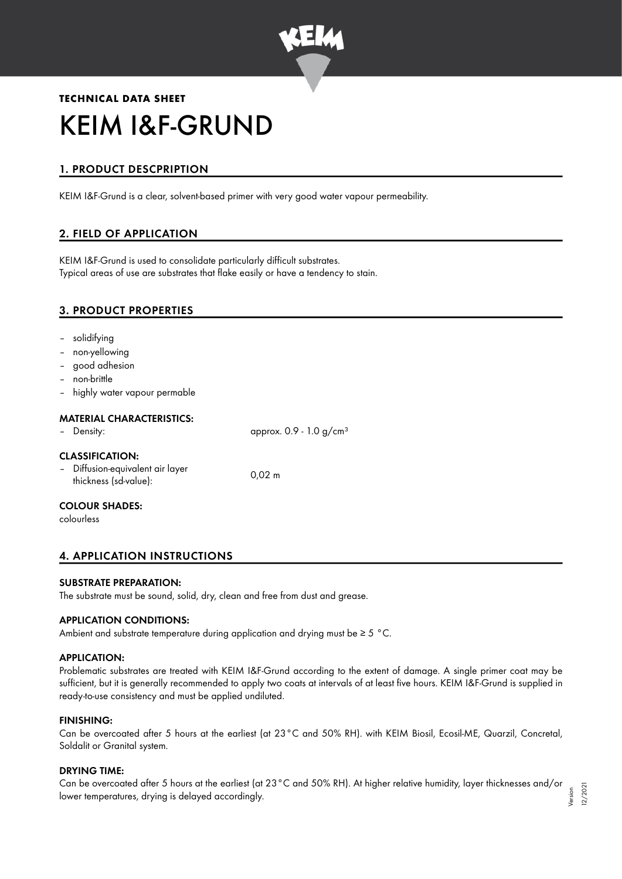

# **TECHNICAL DATA SHEET** KEIM I&F-GRUND

# 1. PRODUCT DESCPRIPTION

KEIM I&F-Grund is a clear, solvent-based primer with very good water vapour permeability.

# 2. FIELD OF APPLICATION

KEIM I&F-Grund is used to consolidate particularly difficult substrates. Typical areas of use are substrates that flake easily or have a tendency to stain.

# 3. PRODUCT PROPERTIES

- solidifying
- non-yellowing
- good adhesion
- non-brittle
- highly water vapour permable

## MATERIAL CHARACTERISTICS:

| - Density:                                                                          | approx. $0.9 - 1.0$ g/cm <sup>3</sup> |
|-------------------------------------------------------------------------------------|---------------------------------------|
| <b>CLASSIFICATION:</b><br>- Diffusion-equivalent air layer<br>thickness (sd-value): | $0.02 \; m$                           |

# COLOUR SHADES:

colourless

# 4. APPLICATION INSTRUCTIONS

#### SUBSTRATE PREPARATION:

The substrate must be sound, solid, dry, clean and free from dust and grease.

#### APPLICATION CONDITIONS:

Ambient and substrate temperature during application and drying must be ≥ 5 °C.

#### APPLICATION:

Problematic substrates are treated with KEIM I&F-Grund according to the extent of damage. A single primer coat may be sufficient, but it is generally recommended to apply two coats at intervals of at least five hours. KEIM I&F-Grund is supplied in ready-to-use consistency and must be applied undiluted.

#### FINISHING:

Can be overcoated after 5 hours at the earliest (at 23°C and 50% RH). with KEIM Biosil, Ecosil-ME, Quarzil, Concretal, Soldalit or Granital system.

#### DRYING TIME:

Can be overcoated after 5 hours at the earliest (at 23°C and 50% RH). At higher relative humidity, layer thicknesses and/or lower temperatures, drying is delayed accordingly. Version